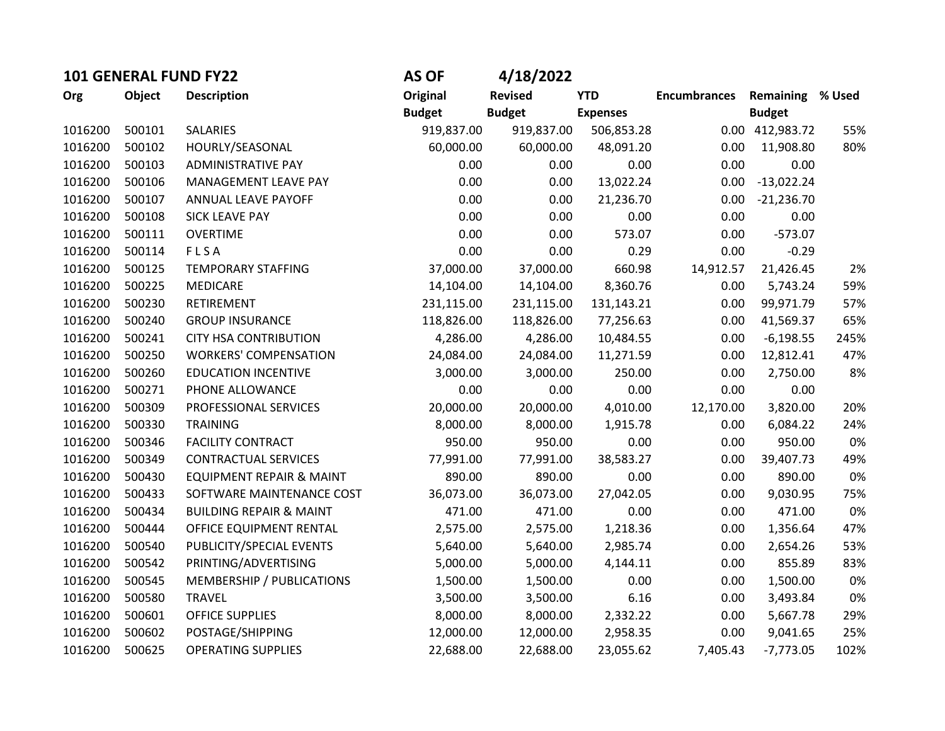| 101 GENERAL FUND FY22 |        | <b>AS OF</b>                       | 4/18/2022       |                |                 |                     |                         |      |
|-----------------------|--------|------------------------------------|-----------------|----------------|-----------------|---------------------|-------------------------|------|
| Org                   | Object | <b>Description</b>                 | <b>Original</b> | <b>Revised</b> | <b>YTD</b>      | <b>Encumbrances</b> | <b>Remaining % Used</b> |      |
|                       |        |                                    | <b>Budget</b>   | <b>Budget</b>  | <b>Expenses</b> |                     | <b>Budget</b>           |      |
| 1016200               | 500101 | SALARIES                           | 919,837.00      | 919,837.00     | 506,853.28      |                     | 0.00 412,983.72         | 55%  |
| 1016200               | 500102 | HOURLY/SEASONAL                    | 60,000.00       | 60,000.00      | 48,091.20       | 0.00                | 11,908.80               | 80%  |
| 1016200               | 500103 | ADMINISTRATIVE PAY                 | 0.00            | 0.00           | 0.00            | 0.00                | 0.00                    |      |
| 1016200               | 500106 | MANAGEMENT LEAVE PAY               | 0.00            | 0.00           | 13,022.24       | 0.00                | $-13,022.24$            |      |
| 1016200               | 500107 | ANNUAL LEAVE PAYOFF                | 0.00            | 0.00           | 21,236.70       | 0.00                | $-21,236.70$            |      |
| 1016200               | 500108 | <b>SICK LEAVE PAY</b>              | 0.00            | 0.00           | 0.00            | 0.00                | 0.00                    |      |
| 1016200               | 500111 | <b>OVERTIME</b>                    | 0.00            | 0.00           | 573.07          | 0.00                | $-573.07$               |      |
| 1016200               | 500114 | FLSA                               | 0.00            | 0.00           | 0.29            | 0.00                | $-0.29$                 |      |
| 1016200               | 500125 | TEMPORARY STAFFING                 | 37,000.00       | 37,000.00      | 660.98          | 14,912.57           | 21,426.45               | 2%   |
| 1016200               | 500225 | <b>MEDICARE</b>                    | 14,104.00       | 14,104.00      | 8,360.76        | 0.00                | 5,743.24                | 59%  |
| 1016200               | 500230 | RETIREMENT                         | 231,115.00      | 231,115.00     | 131,143.21      | 0.00                | 99,971.79               | 57%  |
| 1016200               | 500240 | <b>GROUP INSURANCE</b>             | 118,826.00      | 118,826.00     | 77,256.63       | 0.00                | 41,569.37               | 65%  |
| 1016200               | 500241 | <b>CITY HSA CONTRIBUTION</b>       | 4,286.00        | 4,286.00       | 10,484.55       | 0.00                | $-6,198.55$             | 245% |
| 1016200               | 500250 | <b>WORKERS' COMPENSATION</b>       | 24,084.00       | 24,084.00      | 11,271.59       | 0.00                | 12,812.41               | 47%  |
| 1016200               | 500260 | <b>EDUCATION INCENTIVE</b>         | 3,000.00        | 3,000.00       | 250.00          | 0.00                | 2,750.00                | 8%   |
| 1016200               | 500271 | PHONE ALLOWANCE                    | 0.00            | 0.00           | 0.00            | 0.00                | 0.00                    |      |
| 1016200               | 500309 | PROFESSIONAL SERVICES              | 20,000.00       | 20,000.00      | 4,010.00        | 12,170.00           | 3,820.00                | 20%  |
| 1016200               | 500330 | <b>TRAINING</b>                    | 8,000.00        | 8,000.00       | 1,915.78        | 0.00                | 6,084.22                | 24%  |
| 1016200               | 500346 | <b>FACILITY CONTRACT</b>           | 950.00          | 950.00         | 0.00            | 0.00                | 950.00                  | 0%   |
| 1016200               | 500349 | <b>CONTRACTUAL SERVICES</b>        | 77,991.00       | 77,991.00      | 38,583.27       | 0.00                | 39,407.73               | 49%  |
| 1016200               | 500430 | EQUIPMENT REPAIR & MAINT           | 890.00          | 890.00         | 0.00            | 0.00                | 890.00                  | 0%   |
| 1016200               | 500433 | SOFTWARE MAINTENANCE COST          | 36,073.00       | 36,073.00      | 27,042.05       | 0.00                | 9,030.95                | 75%  |
| 1016200               | 500434 | <b>BUILDING REPAIR &amp; MAINT</b> | 471.00          | 471.00         | 0.00            | 0.00                | 471.00                  | 0%   |
| 1016200               | 500444 | OFFICE EQUIPMENT RENTAL            | 2,575.00        | 2,575.00       | 1,218.36        | 0.00                | 1,356.64                | 47%  |
| 1016200               | 500540 | PUBLICITY/SPECIAL EVENTS           | 5,640.00        | 5,640.00       | 2,985.74        | 0.00                | 2,654.26                | 53%  |
| 1016200               | 500542 | PRINTING/ADVERTISING               | 5,000.00        | 5,000.00       | 4,144.11        | 0.00                | 855.89                  | 83%  |
| 1016200               | 500545 | MEMBERSHIP / PUBLICATIONS          | 1,500.00        | 1,500.00       | 0.00            | 0.00                | 1,500.00                | 0%   |
| 1016200               | 500580 | <b>TRAVEL</b>                      | 3,500.00        | 3,500.00       | 6.16            | 0.00                | 3,493.84                | 0%   |
| 1016200               | 500601 | <b>OFFICE SUPPLIES</b>             | 8,000.00        | 8,000.00       | 2,332.22        | 0.00                | 5,667.78                | 29%  |
| 1016200               | 500602 | POSTAGE/SHIPPING                   | 12,000.00       | 12,000.00      | 2,958.35        | 0.00                | 9,041.65                | 25%  |
| 1016200               | 500625 | <b>OPERATING SUPPLIES</b>          | 22,688.00       | 22,688.00      | 23,055.62       | 7,405.43            | $-7,773.05$             | 102% |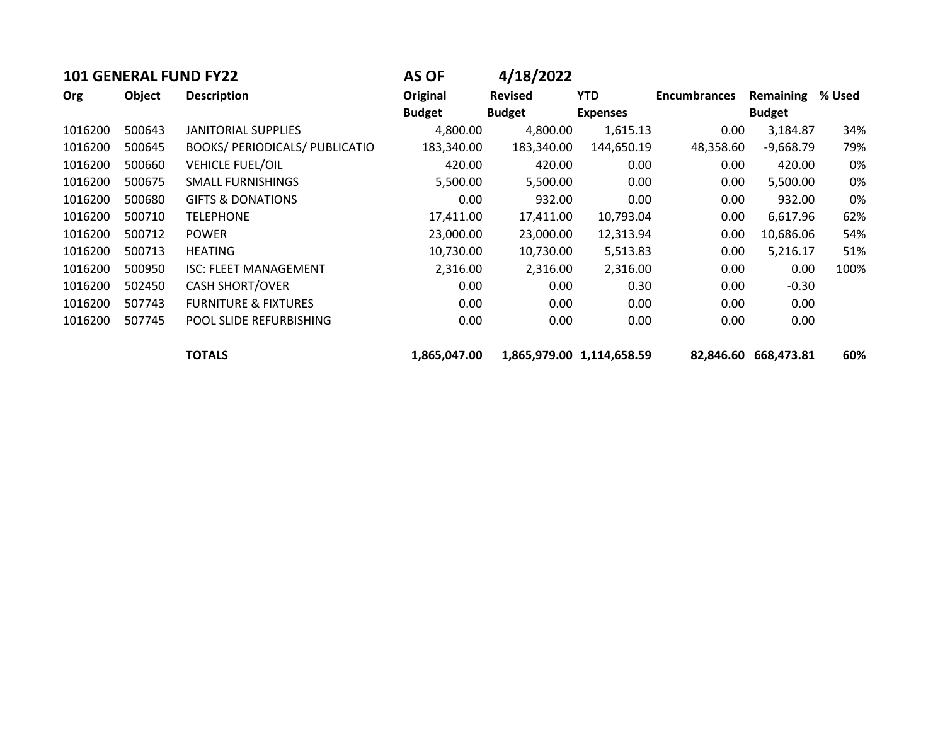| <b>101 GENERAL FUND FY22</b> |               | <b>AS OF</b>                          | 4/18/2022     |                |                           |                     |               |        |
|------------------------------|---------------|---------------------------------------|---------------|----------------|---------------------------|---------------------|---------------|--------|
| Org                          | <b>Object</b> | <b>Description</b>                    | Original      | <b>Revised</b> | <b>YTD</b>                | <b>Encumbrances</b> | Remaining     | % Used |
|                              |               |                                       | <b>Budget</b> | <b>Budget</b>  | <b>Expenses</b>           |                     | <b>Budget</b> |        |
| 1016200                      | 500643        | <b>JANITORIAL SUPPLIES</b>            | 4,800.00      | 4,800.00       | 1,615.13                  | 0.00                | 3,184.87      | 34%    |
| 1016200                      | 500645        | <b>BOOKS/ PERIODICALS/ PUBLICATIO</b> | 183,340.00    | 183,340.00     | 144,650.19                | 48,358.60           | $-9,668.79$   | 79%    |
| 1016200                      | 500660        | <b>VEHICLE FUEL/OIL</b>               | 420.00        | 420.00         | 0.00                      | 0.00                | 420.00        | 0%     |
| 1016200                      | 500675        | <b>SMALL FURNISHINGS</b>              | 5,500.00      | 5,500.00       | 0.00                      | 0.00                | 5,500.00      | 0%     |
| 1016200                      | 500680        | <b>GIFTS &amp; DONATIONS</b>          | 0.00          | 932.00         | 0.00                      | 0.00                | 932.00        | 0%     |
| 1016200                      | 500710        | <b>TELEPHONE</b>                      | 17,411.00     | 17,411.00      | 10,793.04                 | 0.00                | 6,617.96      | 62%    |
| 1016200                      | 500712        | <b>POWER</b>                          | 23,000.00     | 23,000.00      | 12,313.94                 | 0.00                | 10,686.06     | 54%    |
| 1016200                      | 500713        | <b>HEATING</b>                        | 10,730.00     | 10,730.00      | 5,513.83                  | 0.00                | 5,216.17      | 51%    |
| 1016200                      | 500950        | <b>ISC: FLEET MANAGEMENT</b>          | 2,316.00      | 2,316.00       | 2,316.00                  | 0.00                | 0.00          | 100%   |
| 1016200                      | 502450        | <b>CASH SHORT/OVER</b>                | 0.00          | 0.00           | 0.30                      | 0.00                | $-0.30$       |        |
| 1016200                      | 507743        | <b>FURNITURE &amp; FIXTURES</b>       | 0.00          | 0.00           | 0.00                      | 0.00                | 0.00          |        |
| 1016200                      | 507745        | POOL SLIDE REFURBISHING               | 0.00          | 0.00           | 0.00                      | 0.00                | 0.00          |        |
|                              |               | <b>TOTALS</b>                         | 1,865,047.00  |                | 1,865,979.00 1,114,658.59 | 82,846.60           | 668,473.81    | 60%    |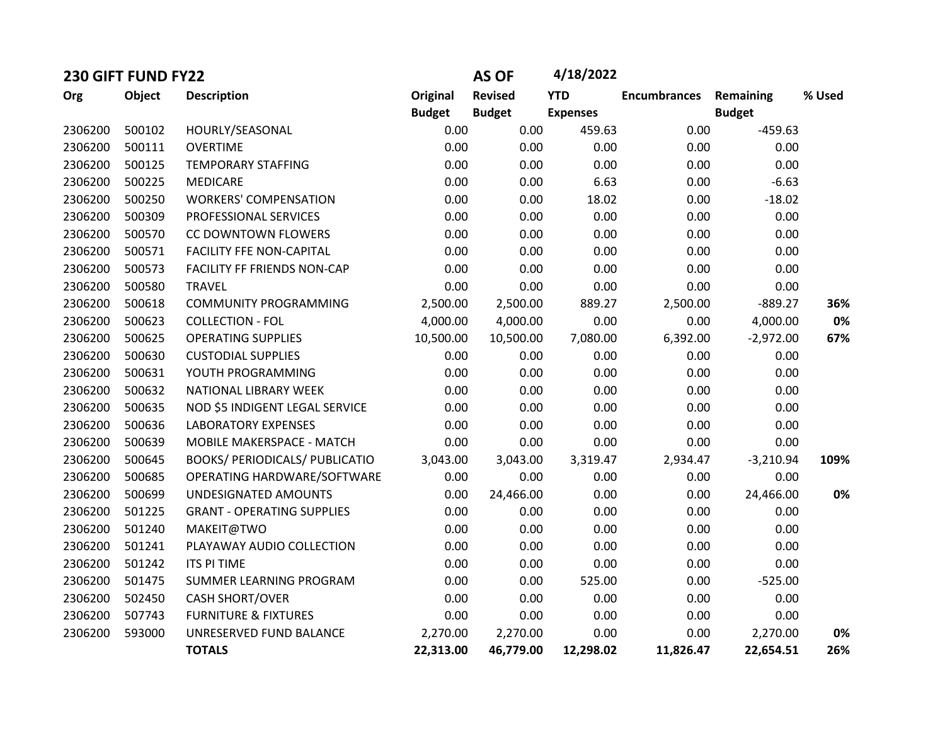| 230 GIFT FUND FY22 |        |                                       |               | <b>AS OF</b>   | 4/18/2022       |                     |               |        |
|--------------------|--------|---------------------------------------|---------------|----------------|-----------------|---------------------|---------------|--------|
| Org                | Object | <b>Description</b>                    | Original      | <b>Revised</b> | <b>YTD</b>      | <b>Encumbrances</b> | Remaining     | % Used |
|                    |        |                                       | <b>Budget</b> | <b>Budget</b>  | <b>Expenses</b> |                     | <b>Budget</b> |        |
| 2306200            | 500102 | HOURLY/SEASONAL                       | 0.00          | 0.00           | 459.63          | 0.00                | $-459.63$     |        |
| 2306200            | 500111 | <b>OVERTIME</b>                       | 0.00          | 0.00           | 0.00            | 0.00                | 0.00          |        |
| 2306200            | 500125 | <b>TEMPORARY STAFFING</b>             | 0.00          | 0.00           | 0.00            | 0.00                | 0.00          |        |
| 2306200            | 500225 | <b>MEDICARE</b>                       | 0.00          | 0.00           | 6.63            | 0.00                | $-6.63$       |        |
| 2306200            | 500250 | <b>WORKERS' COMPENSATION</b>          | 0.00          | 0.00           | 18.02           | 0.00                | $-18.02$      |        |
| 2306200            | 500309 | PROFESSIONAL SERVICES                 | 0.00          | 0.00           | 0.00            | 0.00                | 0.00          |        |
| 2306200            | 500570 | CC DOWNTOWN FLOWERS                   | 0.00          | 0.00           | 0.00            | 0.00                | 0.00          |        |
| 2306200            | 500571 | <b>FACILITY FFE NON-CAPITAL</b>       | 0.00          | 0.00           | 0.00            | 0.00                | 0.00          |        |
| 2306200            | 500573 | FACILITY FF FRIENDS NON-CAP           | 0.00          | 0.00           | 0.00            | 0.00                | 0.00          |        |
| 2306200            | 500580 | <b>TRAVEL</b>                         | 0.00          | 0.00           | 0.00            | 0.00                | 0.00          |        |
| 2306200            | 500618 | <b>COMMUNITY PROGRAMMING</b>          | 2,500.00      | 2,500.00       | 889.27          | 2,500.00            | $-889.27$     | 36%    |
| 2306200            | 500623 | <b>COLLECTION - FOL</b>               | 4,000.00      | 4,000.00       | 0.00            | 0.00                | 4,000.00      | 0%     |
| 2306200            | 500625 | <b>OPERATING SUPPLIES</b>             | 10,500.00     | 10,500.00      | 7,080.00        | 6,392.00            | $-2,972.00$   | 67%    |
| 2306200            | 500630 | <b>CUSTODIAL SUPPLIES</b>             | 0.00          | 0.00           | 0.00            | 0.00                | 0.00          |        |
| 2306200            | 500631 | YOUTH PROGRAMMING                     | 0.00          | 0.00           | 0.00            | 0.00                | 0.00          |        |
| 2306200            | 500632 | NATIONAL LIBRARY WEEK                 | 0.00          | 0.00           | 0.00            | 0.00                | 0.00          |        |
| 2306200            | 500635 | NOD \$5 INDIGENT LEGAL SERVICE        | 0.00          | 0.00           | 0.00            | 0.00                | 0.00          |        |
| 2306200            | 500636 | <b>LABORATORY EXPENSES</b>            | 0.00          | 0.00           | 0.00            | 0.00                | 0.00          |        |
| 2306200            | 500639 | MOBILE MAKERSPACE - MATCH             | 0.00          | 0.00           | 0.00            | 0.00                | 0.00          |        |
| 2306200            | 500645 | <b>BOOKS/ PERIODICALS/ PUBLICATIO</b> | 3,043.00      | 3,043.00       | 3,319.47        | 2,934.47            | $-3,210.94$   | 109%   |
| 2306200            | 500685 | OPERATING HARDWARE/SOFTWARE           | 0.00          | 0.00           | 0.00            | 0.00                | 0.00          |        |
| 2306200            | 500699 | UNDESIGNATED AMOUNTS                  | 0.00          | 24,466.00      | 0.00            | 0.00                | 24,466.00     | 0%     |
| 2306200            | 501225 | <b>GRANT - OPERATING SUPPLIES</b>     | 0.00          | 0.00           | 0.00            | 0.00                | 0.00          |        |
| 2306200            | 501240 | MAKEIT@TWO                            | 0.00          | 0.00           | 0.00            | 0.00                | 0.00          |        |
| 2306200            | 501241 | PLAYAWAY AUDIO COLLECTION             | 0.00          | 0.00           | 0.00            | 0.00                | 0.00          |        |
| 2306200            | 501242 | <b>ITS PI TIME</b>                    | 0.00          | 0.00           | 0.00            | 0.00                | 0.00          |        |
| 2306200            | 501475 | SUMMER LEARNING PROGRAM               | 0.00          | 0.00           | 525.00          | 0.00                | $-525.00$     |        |
| 2306200            | 502450 | <b>CASH SHORT/OVER</b>                | 0.00          | 0.00           | 0.00            | 0.00                | 0.00          |        |
| 2306200            | 507743 | <b>FURNITURE &amp; FIXTURES</b>       | 0.00          | 0.00           | 0.00            | 0.00                | 0.00          |        |
| 2306200            | 593000 | UNRESERVED FUND BALANCE               | 2,270.00      | 2,270.00       | 0.00            | 0.00                | 2,270.00      | 0%     |
|                    |        | <b>TOTALS</b>                         | 22,313.00     | 46,779.00      | 12,298.02       | 11,826.47           | 22,654.51     | 26%    |